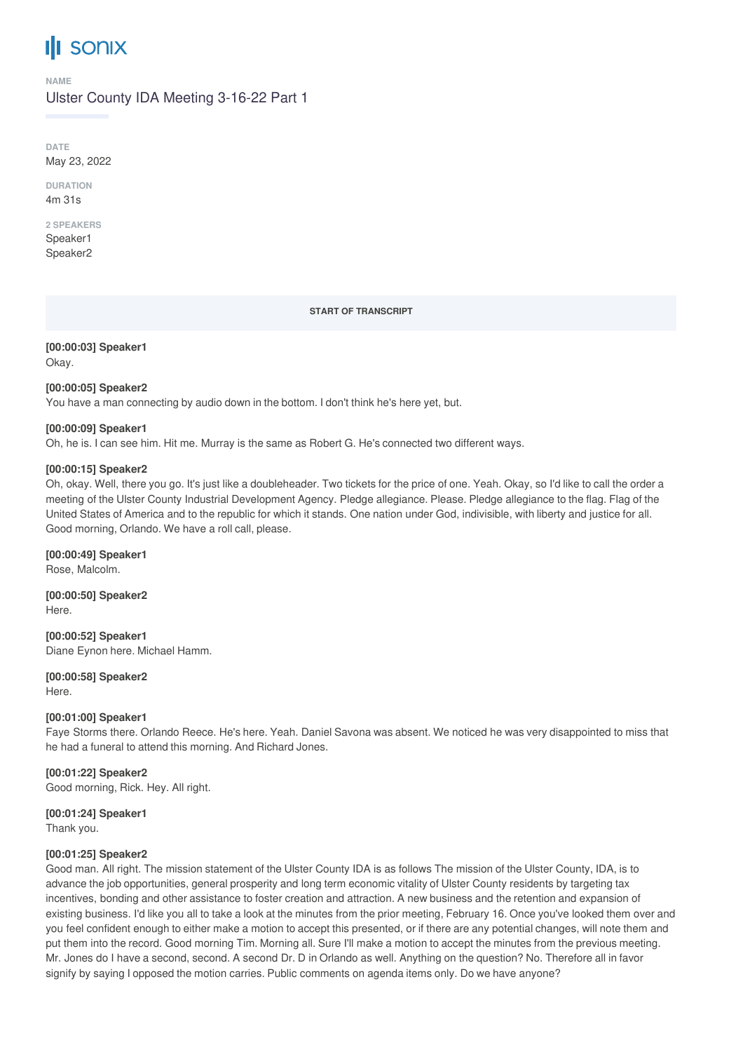# **SONIX**

#### **NAME**

# Ulster County IDA Meeting 3-16-22 Part 1

**DATE** May 23, 2022

**DURATION** 4m 31s

# **2 SPEAKERS**

Speaker1 Speaker2

**START OF TRANSCRIPT**

**[00:00:03] Speaker1** Okay.

### **[00:00:05] Speaker2**

You have a man connecting by audio down in the bottom. I don't think he's here yet, but.

# **[00:00:09] Speaker1**

Oh, he is. I can see him. Hit me. Murray is the same as Robert G. He's connected two different ways.

# **[00:00:15] Speaker2**

Oh, okay. Well, there you go. It's just like a doubleheader. Two tickets for the price of one. Yeah. Okay, so I'd like to call the order a meeting of the Ulster County Industrial Development Agency. Pledge allegiance. Please. Pledge allegiance to the flag. Flag of the United States of America and to the republic for which it stands. One nation under God, indivisible, with liberty and justice for all. Good morning, Orlando. We have a roll call, please.

**[00:00:49] Speaker1** Rose, Malcolm.

**[00:00:50] Speaker2** Here.

**[00:00:52] Speaker1** Diane Eynon here. Michael Hamm.

**[00:00:58] Speaker2** Here.

# **[00:01:00] Speaker1**

Faye Storms there. Orlando Reece. He's here. Yeah. Daniel Savona was absent. We noticed he was very disappointed to miss that he had a funeral to attend this morning. And Richard Jones.

# **[00:01:22] Speaker2**

Good morning, Rick. Hey. All right.

# **[00:01:24] Speaker1**

Thank you.

# **[00:01:25] Speaker2**

Good man. All right. The mission statement of the Ulster County IDA is as follows The mission of the Ulster County, IDA, is to advance the job opportunities, general prosperity and long term economic vitality of Ulster County residents by targeting tax incentives, bonding and other assistance to foster creation and attraction. A new business and the retention and expansion of existing business. I'd like you all to take a look at the minutes from the prior meeting, February 16. Once you've looked them over and you feel confident enough to either make a motion to accept this presented, or if there are any potential changes, will note them and put them into the record. Good morning Tim. Morning all. Sure I'll make a motion to accept the minutes from the previous meeting. Mr. Jones do I have a second, second. A second Dr. D in Orlando as well. Anything on the question? No. Therefore all in favor signify by saying I opposed the motion carries. Public comments on agenda items only. Do we have anyone?